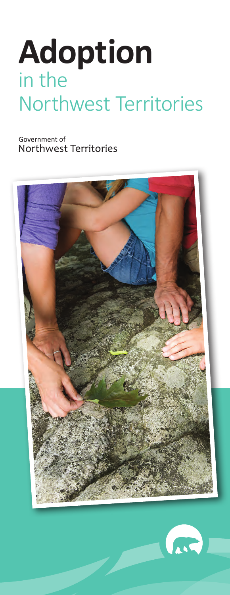# **Adoption** in the Northwest Territories

Government of Northwest Territories



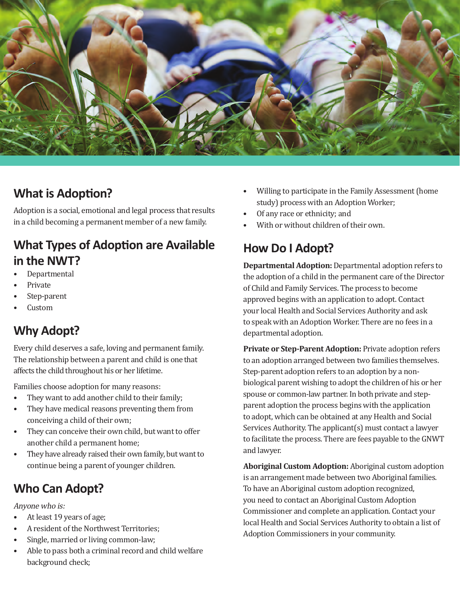

#### **What is Adoption?**

Adoption is a social, emotional and legal process that results in a child becoming a permanent member of a new family.

#### **What Types of Adoption are Available in the NWT?**

- Departmental
- Private
- Step-parent
- Custom

### **Why Adopt?**

Every child deserves a safe, loving and permanent family. The relationship between a parent and child is one that affects the child throughout his or her lifetime.

Families choose adoption for many reasons:

- They want to add another child to their family;
- They have medical reasons preventing them from conceiving a child of their own;
- They can conceive their own child, but want to offer another child a permanent home;
- They have already raised their own family, but want to continue being a parent of younger children.

### **Who Can Adopt?**

Anyone who is:

- At least 19 years of age;
- A resident of the Northwest Territories;
- Single, married or living common-law;
- Able to pass both a criminal record and child welfare background check;
- Willing to participate in the Family Assessment (home study) process with an Adoption Worker;
- Of any race or ethnicity; and
- With or without children of their own.

### **How Do I Adopt?**

**Departmental Adoption:** Departmental adoption refers to the adoption of a child in the permanent care of the Director of Child and Family Services. The process to become approved begins with an application to adopt. Contact your local Health and Social Services Authority and ask to speak with an Adoption Worker. There are no fees in a departmental adoption.

**Private or Step-Parent Adoption:** Private adoption refers to an adoption arranged between two families themselves. Step-parent adoption refers to an adoption by a nonbiological parent wishing to adopt the children of his or her spouse or common-law partner. In both private and stepparent adoption the process begins with the application to adopt, which can be obtained at any Health and Social Services Authority. The applicant(s) must contact a lawyer to facilitate the process. There are fees payable to the GNWT and lawyer.

**Aboriginal Custom Adoption:** Aboriginal custom adoption is an arrangement made between two Aboriginal families. To have an Aboriginal custom adoption recognized, you need to contact an Aboriginal Custom Adoption Commissioner and complete an application. Contact your local Health and Social Services Authority to obtain a list of Adoption Commissioners in your community.